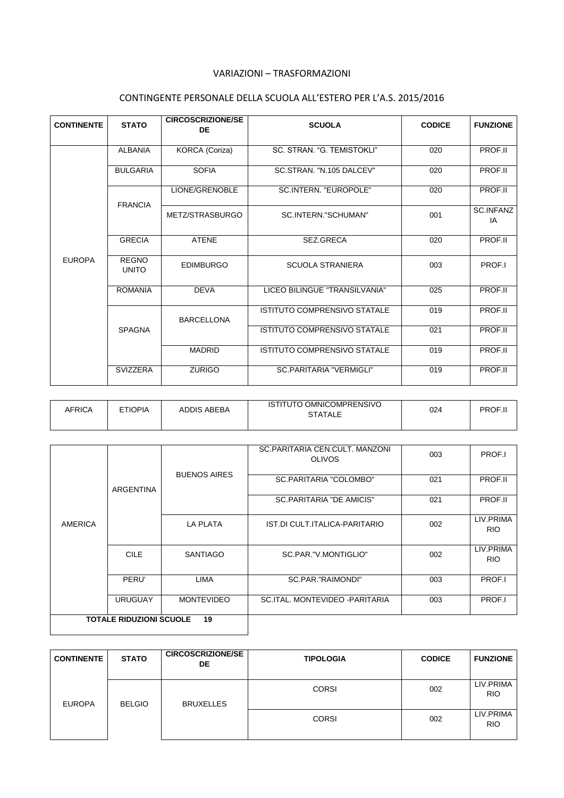## VARIAZIONI – TRASFORMAZIONI

## CONTINGENTE PERSONALE DELLA SCUOLA ALL'ESTERO PER L'A.S. 2015/2016

| <b>CONTINENTE</b> | <b>STATO</b>                 | <b>CIRCOSCRIZIONE/SE</b><br>DE | <b>SCUOLA</b>                       | <b>CODICE</b> | <b>FUNZIONE</b>        |
|-------------------|------------------------------|--------------------------------|-------------------------------------|---------------|------------------------|
|                   | <b>ALBANIA</b>               | KORCA (Coriza)                 | SC. STRAN. "G. TEMISTOKLI"          | 020           | PROF.II                |
|                   | <b>BULGARIA</b>              | <b>SOFIA</b>                   | SC.STRAN. "N.105 DALCEV"            | 020           | PROF.II                |
|                   | <b>FRANCIA</b>               | LIONE/GRENOBLE                 | <b>SC.INTERN. "EUROPOLE"</b>        | 020           | PROF.II                |
|                   |                              | METZ/STRASBURGO                | SC.INTERN."SCHUMAN"                 | 001           | <b>SC.INFANZ</b><br>IA |
|                   | <b>GRECIA</b>                | <b>ATENE</b>                   | SEZ.GRECA                           | 020           | PROF.II                |
| <b>EUROPA</b>     | <b>REGNO</b><br><b>UNITO</b> | <b>EDIMBURGO</b>               | <b>SCUOLA STRANIERA</b>             | 003           | PROF.I                 |
|                   | <b>ROMANIA</b>               | <b>DFVA</b>                    | LICEO BILINGUE "TRANSILVANIA"       | 025           | PROF.II                |
|                   |                              | <b>BARCELLONA</b>              | <b>ISTITUTO COMPRENSIVO STATALE</b> | 019           | PROF.II                |
|                   | <b>SPAGNA</b>                |                                | <b>ISTITUTO COMPRENSIVO STATALE</b> | 021           | PROF.II                |
|                   |                              | <b>MADRID</b>                  | <b>ISTITUTO COMPRENSIVO STATALE</b> | 019           | PROF.II                |
|                   | <b>SVIZZERA</b>              | <b>ZURIGO</b>                  | SC.PARITARIA "VERMIGLI"             | 019           | PROF.II                |

| <b>AFRICA</b> | <b>FTIOPIA</b> | <b>ADDIS ABEBA</b> | <b>ISTITUTO OMNICOMPRENSIVO</b><br><b>STATALE</b> | 024 | PROF.II |
|---------------|----------------|--------------------|---------------------------------------------------|-----|---------|
|               |                |                    |                                                   |     |         |

|                                      |                  |                     | SC.PARITARIA CEN.CULT. MANZONI<br><b>OLIVOS</b> | 003 | PROF.I                  |
|--------------------------------------|------------------|---------------------|-------------------------------------------------|-----|-------------------------|
|                                      | <b>ARGENTINA</b> | <b>BUENOS AIRES</b> | SC.PARITARIA "COLOMBO"                          | 021 | PROF.II                 |
|                                      |                  |                     | <b>SC.PARITARIA "DE AMICIS"</b>                 | 021 | PROF.II                 |
| <b>AMERICA</b>                       |                  | LA PLATA            | IST.DI CULT.ITALICA-PARITARIO                   | 002 | LIV.PRIMA<br><b>RIO</b> |
|                                      | <b>CILE</b>      | <b>SANTIAGO</b>     | SC.PAR."V.MONTIGLIO"                            | 002 | LIV.PRIMA<br><b>RIO</b> |
|                                      | PERU'            | LIMA                | SC.PAR."RAIMONDI"                               | 003 | PROF.I                  |
|                                      | <b>URUGUAY</b>   | <b>MONTEVIDEO</b>   | SC.ITAL, MONTEVIDEO - PARITARIA                 | 003 | PROF.I                  |
| <b>TOTALE RIDUZIONI SCUOLE</b><br>19 |                  |                     |                                                 |     |                         |

| <b>CONTINENTE</b> | <b>STATO</b>  | <b>CIRCOSCRIZIONE/SE</b><br>DE | <b>TIPOLOGIA</b> | <b>CODICE</b> | <b>FUNZIONE</b>         |
|-------------------|---------------|--------------------------------|------------------|---------------|-------------------------|
| <b>EUROPA</b>     | <b>BELGIO</b> | <b>BRUXELLES</b>               | <b>CORSI</b>     | 002           | LIV.PRIMA<br><b>RIO</b> |
|                   |               |                                | <b>CORSI</b>     | 002           | LIV.PRIMA<br><b>RIO</b> |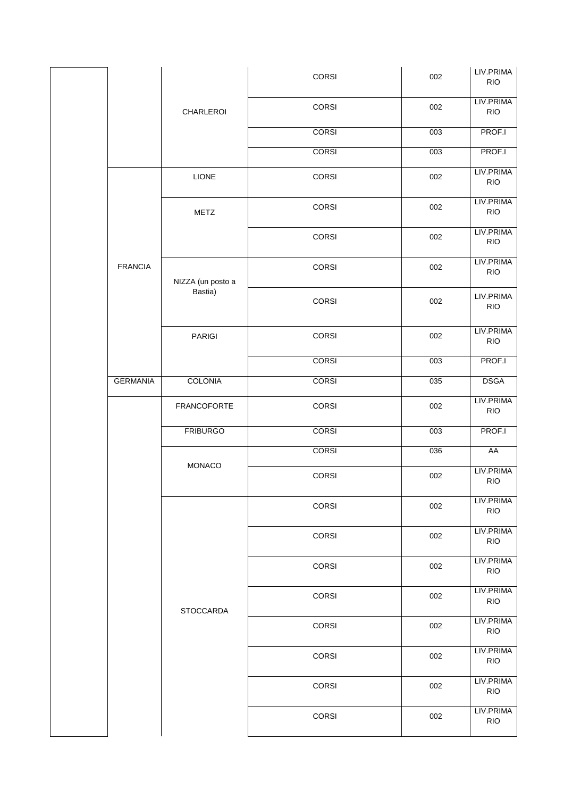|  |                 |                    | CORSI        | 002 | LIV.PRIMA<br><b>RIO</b> |
|--|-----------------|--------------------|--------------|-----|-------------------------|
|  |                 | CHARLEROI          | CORSI        | 002 | LIV.PRIMA<br><b>RIO</b> |
|  |                 |                    | <b>CORSI</b> | 003 | PROF.I                  |
|  |                 |                    | <b>CORSI</b> | 003 | PROF.I                  |
|  |                 | LIONE              | CORSI        | 002 | LIV.PRIMA<br><b>RIO</b> |
|  |                 | METZ               | <b>CORSI</b> | 002 | LIV.PRIMA<br><b>RIO</b> |
|  |                 |                    | CORSI        | 002 | LIV.PRIMA<br><b>RIO</b> |
|  | <b>FRANCIA</b>  | NIZZA (un posto a  | <b>CORSI</b> | 002 | LIV.PRIMA<br><b>RIO</b> |
|  |                 | Bastia)            | CORSI        | 002 | LIV.PRIMA<br><b>RIO</b> |
|  |                 | PARIGI             | CORSI        | 002 | LIV.PRIMA<br><b>RIO</b> |
|  |                 |                    | <b>CORSI</b> | 003 | PROF.I                  |
|  | <b>GERMANIA</b> | <b>COLONIA</b>     | <b>CORSI</b> | 035 | <b>DSGA</b>             |
|  |                 | <b>FRANCOFORTE</b> | CORSI        | 002 | LIV.PRIMA<br><b>RIO</b> |
|  |                 | <b>FRIBURGO</b>    | <b>CORSI</b> | 003 | PROF.I                  |
|  |                 | MONACO             | <b>CORSI</b> | 036 | AA                      |
|  |                 |                    | CORSI        | 002 | LIV.PRIMA<br><b>RIO</b> |
|  |                 |                    | CORSI        | 002 | LIV.PRIMA<br><b>RIO</b> |
|  |                 |                    | CORSI        | 002 | LIV.PRIMA<br><b>RIO</b> |
|  |                 |                    | CORSI        | 002 | LIV.PRIMA<br><b>RIO</b> |
|  |                 | <b>STOCCARDA</b>   | <b>CORSI</b> | 002 | LIV.PRIMA<br><b>RIO</b> |
|  |                 |                    | CORSI        | 002 | LIV.PRIMA<br><b>RIO</b> |
|  |                 |                    | CORSI        | 002 | LIV.PRIMA<br><b>RIO</b> |
|  |                 |                    | CORSI        | 002 | LIV.PRIMA<br><b>RIO</b> |
|  |                 |                    | CORSI        | 002 | LIV.PRIMA<br><b>RIO</b> |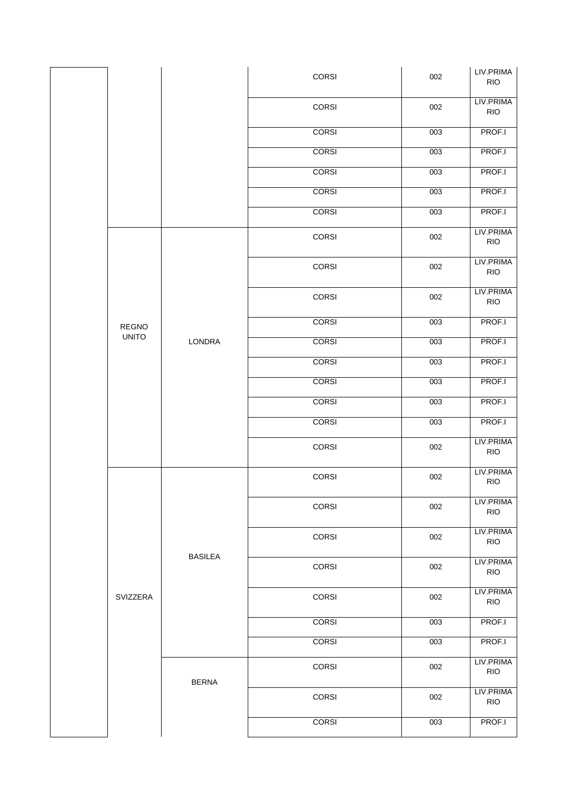| CORSI<br>002                                  | LIV.PRIMA<br><b>RIO</b> |
|-----------------------------------------------|-------------------------|
|                                               |                         |
| <b>CORSI</b><br>003                           | PROF.I                  |
| <b>CORSI</b><br>003                           | PROF.I                  |
| <b>CORSI</b><br>003                           | PROF.I                  |
| <b>CORSI</b><br>003                           | PROF.I                  |
| 003<br><b>CORSI</b>                           | PROF.I                  |
| CORSI<br>002                                  | LIV.PRIMA<br><b>RIO</b> |
| CORSI<br>002                                  | LIV.PRIMA<br><b>RIO</b> |
| CORSI<br>002                                  | LIV.PRIMA<br><b>RIO</b> |
| <b>CORSI</b><br>003<br><b>REGNO</b>           | PROF.I                  |
| <b>UNITO</b><br>LONDRA<br><b>CORSI</b><br>003 | PROF.I                  |
| 003<br><b>CORSI</b>                           | PROF.I                  |
| <b>CORSI</b><br>003                           | PROF.I                  |
| <b>CORSI</b><br>003                           | PROF.I                  |
| <b>CORSI</b><br>003                           | PROF.I                  |
| CORSI<br>002                                  | LIV.PRIMA<br><b>RIO</b> |
| CORSI<br>002                                  | LIV.PRIMA<br><b>RIO</b> |
| CORSI<br>002                                  | LIV.PRIMA<br><b>RIO</b> |
| CORSI<br>002<br><b>BASILEA</b>                | LIV.PRIMA<br><b>RIO</b> |
| CORSI<br>002                                  | LIV.PRIMA<br><b>RIO</b> |
| CORSI<br>002<br>SVIZZERA                      | LIV.PRIMA<br><b>RIO</b> |
| <b>CORSI</b><br>003                           | PROF.I                  |
| <b>CORSI</b><br>003                           | PROF.I                  |
| CORSI<br>002<br><b>BERNA</b>                  | LIV.PRIMA<br><b>RIO</b> |
| CORSI<br>002                                  | LIV.PRIMA<br><b>RIO</b> |
| <b>CORSI</b><br>003                           | PROF.I                  |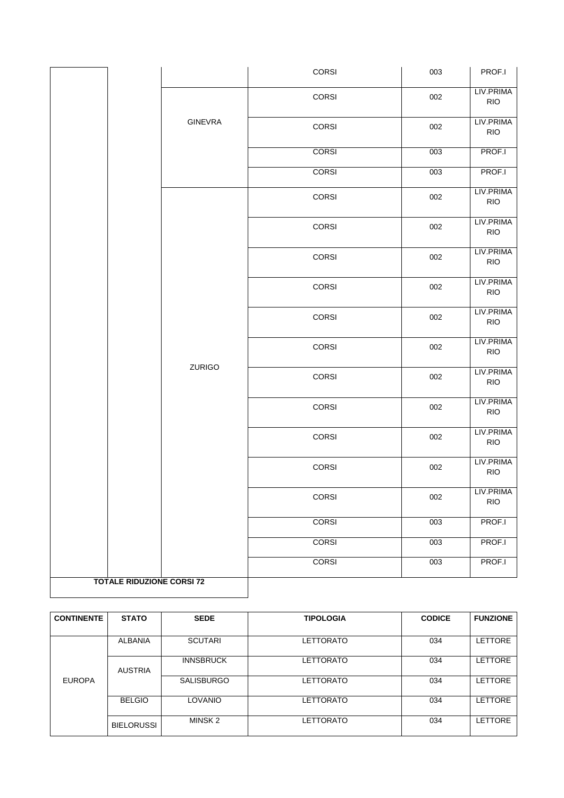|                                  |                | CORSI        | 003 | PROF.I                  |
|----------------------------------|----------------|--------------|-----|-------------------------|
|                                  |                | CORSI        | 002 | LIV.PRIMA<br><b>RIO</b> |
|                                  | <b>GINEVRA</b> | CORSI        | 002 | LIV.PRIMA<br><b>RIO</b> |
|                                  |                | <b>CORSI</b> | 003 | PROF.I                  |
|                                  |                | <b>CORSI</b> | 003 | PROF.I                  |
|                                  |                | CORSI        | 002 | LIV.PRIMA<br><b>RIO</b> |
|                                  |                | CORSI        | 002 | LIV.PRIMA<br><b>RIO</b> |
|                                  |                | CORSI        | 002 | LIV.PRIMA<br><b>RIO</b> |
|                                  |                | CORSI        | 002 | LIV.PRIMA<br><b>RIO</b> |
|                                  |                | CORSI        | 002 | LIV.PRIMA<br><b>RIO</b> |
|                                  | ZURIGO         | CORSI        | 002 | LIV.PRIMA<br><b>RIO</b> |
|                                  |                | CORSI        | 002 | LIV.PRIMA<br><b>RIO</b> |
|                                  |                | CORSI        | 002 | LIV.PRIMA<br><b>RIO</b> |
|                                  |                | CORSI        | 002 | LIV.PRIMA<br><b>RIO</b> |
|                                  |                | CORSI        | 002 | LIV.PRIMA<br><b>RIO</b> |
|                                  |                | CORSI        | 002 | LIV.PRIMA<br><b>RIO</b> |
|                                  |                | <b>CORSI</b> | 003 | PROF.I                  |
|                                  |                | <b>CORSI</b> | 003 | PROF.I                  |
|                                  |                | <b>CORSI</b> | 003 | PROF.I                  |
| <b>TOTALE RIDUZIONE CORSI 72</b> |                |              |     |                         |

| <b>CONTINENTE</b> | <b>STATO</b>      | <b>SEDE</b>       | <b>TIPOLOGIA</b> | <b>CODICE</b> | <b>FUNZIONE</b> |
|-------------------|-------------------|-------------------|------------------|---------------|-----------------|
|                   |                   |                   |                  |               |                 |
| <b>EUROPA</b>     | ALBANIA           | <b>SCUTARI</b>    | LETTORATO        | 034           | <b>LETTORE</b>  |
|                   | <b>AUSTRIA</b>    | <b>INNSBRUCK</b>  | LETTORATO        | 034           | <b>LETTORE</b>  |
|                   |                   | <b>SALISBURGO</b> | LETTORATO        | 034           | <b>LETTORE</b>  |
|                   | <b>BELGIO</b>     | LOVANIO           | LETTORATO        | 034           | <b>LETTORE</b>  |
|                   | <b>BIELORUSSI</b> | MINSK 2           | LETTORATO        | 034           | <b>LETTORE</b>  |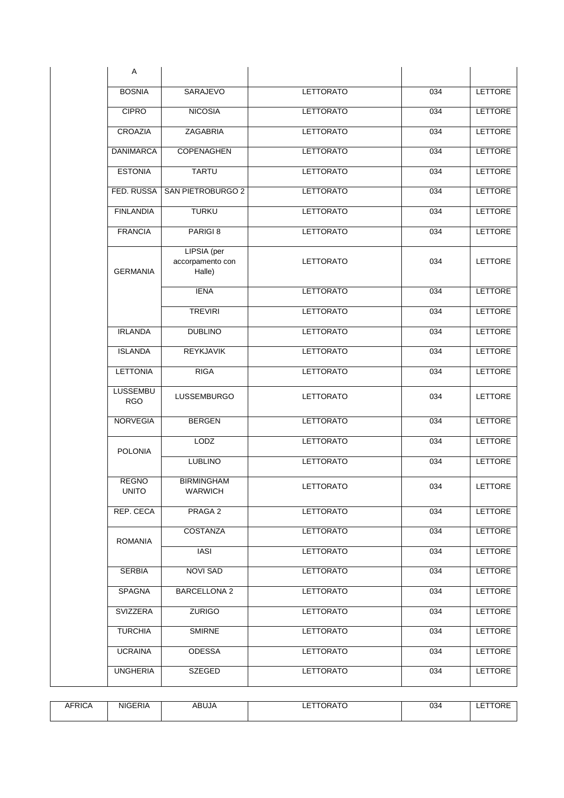| A                            |                                           |                  |     |                |
|------------------------------|-------------------------------------------|------------------|-----|----------------|
| <b>BOSNIA</b>                | <b>SARAJEVO</b>                           | <b>LETTORATO</b> | 034 | <b>LETTORE</b> |
| <b>CIPRO</b>                 | <b>NICOSIA</b>                            | <b>LETTORATO</b> | 034 | <b>LETTORE</b> |
| CROAZIA                      | <b>ZAGABRIA</b>                           | <b>LETTORATO</b> | 034 | <b>LETTORE</b> |
| <b>DANIMARCA</b>             | <b>COPENAGHEN</b>                         | <b>LETTORATO</b> | 034 | <b>LETTORE</b> |
| <b>ESTONIA</b>               | <b>TARTU</b>                              | <b>LETTORATO</b> | 034 | <b>LETTORE</b> |
| FED. RUSSA                   | <b>SAN PIETROBURGO 2</b>                  | <b>LETTORATO</b> | 034 | <b>LETTORE</b> |
| <b>FINLANDIA</b>             | <b>TURKU</b>                              | <b>LETTORATO</b> | 034 | <b>LETTORE</b> |
| <b>FRANCIA</b>               | PARIGI <sub>8</sub>                       | <b>LETTORATO</b> | 034 | LETTORE        |
| <b>GERMANIA</b>              | LIPSIA (per<br>accorpamento con<br>Halle) | <b>LETTORATO</b> | 034 | <b>LETTORE</b> |
|                              | <b>IENA</b>                               | <b>LETTORATO</b> | 034 | <b>LETTORE</b> |
|                              | <b>TREVIRI</b>                            | <b>LETTORATO</b> | 034 | <b>LETTORE</b> |
| <b>IRLANDA</b>               | <b>DUBLINO</b>                            | <b>LETTORATO</b> | 034 | <b>LETTORE</b> |
| <b>ISLANDA</b>               | <b>REYKJAVIK</b>                          | <b>LETTORATO</b> | 034 | <b>LETTORE</b> |
| <b>LETTONIA</b>              | <b>RIGA</b>                               | <b>LETTORATO</b> | 034 | LETTORE        |
| LUSSEMBU<br><b>RGO</b>       | <b>LUSSEMBURGO</b>                        | <b>LETTORATO</b> | 034 | LETTORE        |
| <b>NORVEGIA</b>              | <b>BERGEN</b>                             | <b>LETTORATO</b> | 034 | <b>LETTORE</b> |
| <b>POLONIA</b>               | LODZ                                      | LETTORATO        | 034 | LETTORE        |
|                              | <b>LUBLINO</b>                            | LETTORATO        | 034 | <b>LETTORE</b> |
| <b>REGNO</b><br><b>UNITO</b> | <b>BIRMINGHAM</b><br><b>WARWICH</b>       | <b>LETTORATO</b> | 034 | LETTORE        |
| REP. CECA                    | PRAGA 2                                   | <b>LETTORATO</b> | 034 | <b>LETTORE</b> |
| <b>ROMANIA</b>               | COSTANZA                                  | LETTORATO        | 034 | <b>LETTORE</b> |
|                              | IASI                                      | LETTORATO        | 034 | <b>LETTORE</b> |
| <b>SERBIA</b>                | NOVI SAD                                  | LETTORATO        | 034 | LETTORE        |
| SPAGNA                       | <b>BARCELLONA 2</b>                       | LETTORATO        | 034 | LETTORE        |
| SVIZZERA                     | <b>ZURIGO</b>                             | LETTORATO        | 034 | <b>LETTORE</b> |
| <b>TURCHIA</b>               | <b>SMIRNE</b>                             | LETTORATO        | 034 | LETTORE        |
| <b>UCRAINA</b>               | <b>ODESSA</b>                             | <b>LETTORATO</b> | 034 | <b>LETTORE</b> |
|                              |                                           |                  |     |                |

| FRICA<br><b>ND</b> | <b>NIGERIA</b> | ABUJA | $- - - - - - - - -$<br>ORATU<br>--- | 034 | $-$ - - -<br>URE<br>--- |
|--------------------|----------------|-------|-------------------------------------|-----|-------------------------|
|                    |                |       |                                     |     |                         |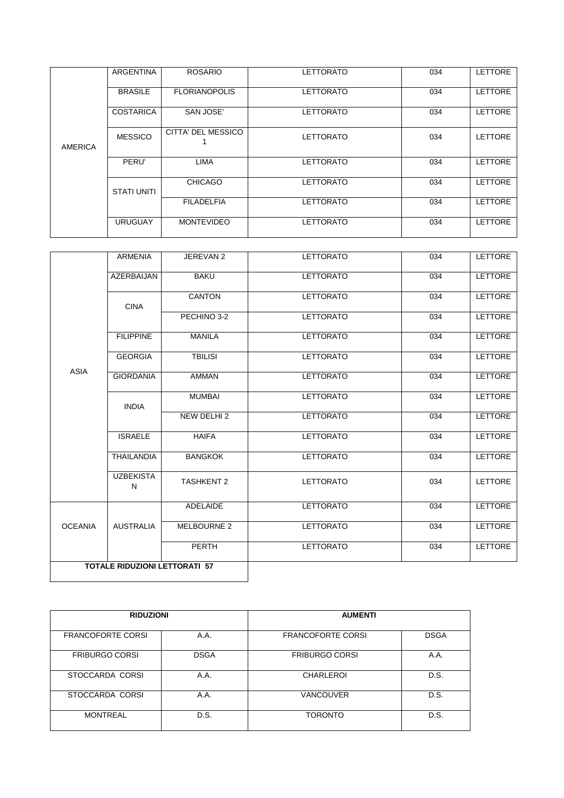|         | <b>ARGENTINA</b>   | <b>ROSARIO</b>       | <b>LETTORATO</b> | 034 | <b>LETTORE</b> |
|---------|--------------------|----------------------|------------------|-----|----------------|
| AMERICA | <b>BRASILE</b>     | <b>FLORIANOPOLIS</b> | <b>LETTORATO</b> | 034 | <b>LETTORE</b> |
|         | <b>COSTARICA</b>   | SAN JOSE'            | <b>LETTORATO</b> | 034 | <b>LETTORE</b> |
|         | <b>MESSICO</b>     | CITTA' DEL MESSICO   | <b>LETTORATO</b> | 034 | <b>LETTORE</b> |
|         | PERU'              | <b>LIMA</b>          | <b>LETTORATO</b> | 034 | <b>LETTORE</b> |
|         | <b>STATI UNITI</b> | <b>CHICAGO</b>       | <b>LETTORATO</b> | 034 | <b>LETTORE</b> |
|         |                    | <b>FILADELFIA</b>    | <b>LETTORATO</b> | 034 | <b>LETTORE</b> |
|         | <b>URUGUAY</b>     | <b>MONTEVIDEO</b>    | <b>LETTORATO</b> | 034 | <b>LETTORE</b> |

|                                      | <b>ARMENIA</b>        | JEREVAN 2              | <b>LETTORATO</b> | 034 | <b>LETTORE</b> |
|--------------------------------------|-----------------------|------------------------|------------------|-----|----------------|
|                                      | <b>AZERBAIJAN</b>     | <b>BAKU</b>            | <b>LETTORATO</b> | 034 | <b>LETTORE</b> |
|                                      | <b>CINA</b>           | <b>CANTON</b>          | <b>LETTORATO</b> | 034 | LETTORE        |
|                                      |                       | PECHINO 3-2            | <b>LETTORATO</b> | 034 | LETTORE        |
|                                      | <b>FILIPPINE</b>      | <b>MANILA</b>          | <b>LETTORATO</b> | 034 | LETTORE        |
|                                      | <b>GEORGIA</b>        | <b>TBILISI</b>         | <b>LETTORATO</b> | 034 | LETTORE        |
| <b>ASIA</b>                          | <b>GIORDANIA</b>      | <b>AMMAN</b>           | <b>LETTORATO</b> | 034 | <b>LETTORE</b> |
|                                      | <b>INDIA</b>          | <b>MUMBAI</b>          | <b>LETTORATO</b> | 034 | LETTORE        |
|                                      |                       | NEW DELHI <sub>2</sub> | <b>LETTORATO</b> | 034 | LETTORE        |
|                                      | <b>ISRAELE</b>        | <b>HAIFA</b>           | <b>LETTORATO</b> | 034 | <b>LETTORE</b> |
|                                      | <b>THAILANDIA</b>     | <b>BANGKOK</b>         | <b>LETTORATO</b> | 034 | LETTORE        |
|                                      | <b>UZBEKISTA</b><br>N | <b>TASHKENT 2</b>      | <b>LETTORATO</b> | 034 | LETTORE        |
|                                      |                       | ADELAIDE               | <b>LETTORATO</b> | 034 | LETTORE        |
| <b>OCEANIA</b>                       | <b>AUSTRALIA</b>      | <b>MELBOURNE 2</b>     | <b>LETTORATO</b> | 034 | LETTORE        |
|                                      |                       | PERTH                  | <b>LETTORATO</b> | 034 | LETTORE        |
| <b>TOTALE RIDUZIONI LETTORATI 57</b> |                       |                        |                  |     |                |

| <b>RIDUZIONI</b>         |             | <b>AUMENTI</b>           |             |
|--------------------------|-------------|--------------------------|-------------|
| <b>FRANCOFORTE CORSI</b> | A.A.        | <b>FRANCOFORTE CORSI</b> | <b>DSGA</b> |
| <b>FRIBURGO CORSI</b>    | <b>DSGA</b> | <b>FRIBURGO CORSI</b>    | A.A.        |
| STOCCARDA CORSI          | A.A.        | <b>CHARLEROI</b>         | D.S.        |
| STOCCARDA CORSI          | A.A.        | <b>VANCOUVER</b>         | D.S.        |
| <b>MONTREAL</b>          | D.S.        | <b>TORONTO</b>           | D.S.        |